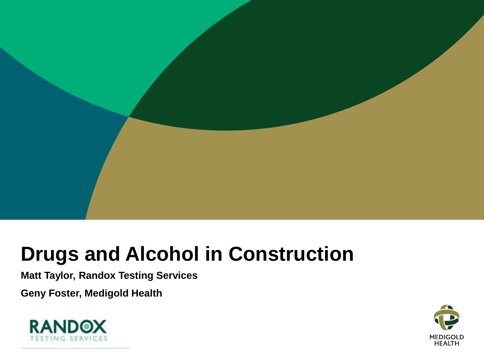

#### **Drugs and Alcohol in Construction**

**Matt Taylor, Randox Testing Services**

**Geny Foster, Medigold Health**



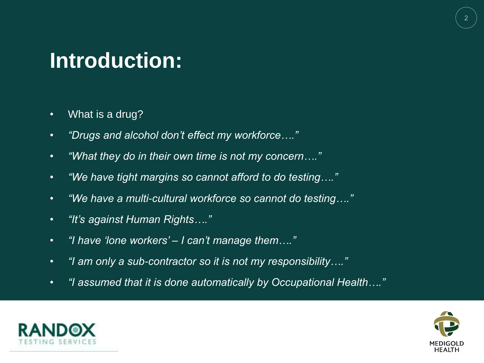## **Introduction:**

- What is a drug?
- *"Drugs and alcohol don't effect my workforce…."*
- *"What they do in their own time is not my concern…."*
- *"We have tight margins so cannot afford to do testing…."*
- *"We have a multi-cultural workforce so cannot do testing…."*
- *"It's against Human Rights…."*
- *"I have 'lone workers' – I can't manage them…."*
- *"I am only a sub-contractor so it is not my responsibility…."*
- *"I assumed that it is done automatically by Occupational Health…."*



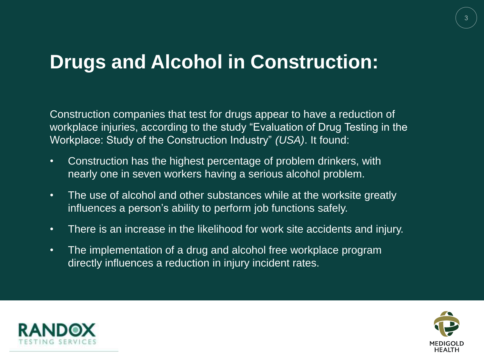#### **Drugs and Alcohol in Construction:**

Construction companies that test for drugs appear to have a reduction of workplace injuries, according to the study "Evaluation of Drug Testing in the Workplace: Study of the Construction Industry" *(USA)*. It found:

- Construction has the highest percentage of problem drinkers, with nearly one in seven workers having a serious alcohol problem.
- The use of alcohol and other substances while at the worksite greatly influences a person's ability to perform job functions safely.
- There is an increase in the likelihood for work site accidents and injury.
- The implementation of a drug and alcohol free workplace program directly influences a reduction in injury incident rates.



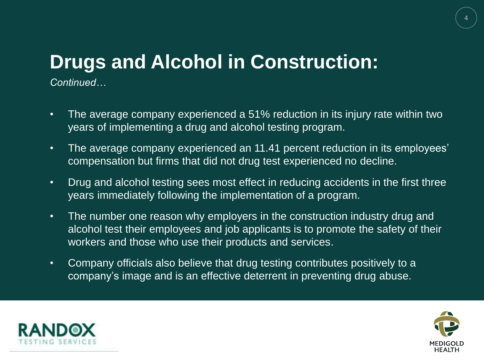## **Drugs and Alcohol in Construction:**

*Continued…*

- The average company experienced a 51% reduction in its injury rate within two years of implementing a drug and alcohol testing program.
- The average company experienced an 11.41 percent reduction in its employees' compensation but firms that did not drug test experienced no decline.
- Drug and alcohol testing sees most effect in reducing accidents in the first three years immediately following the implementation of a program.
- The number one reason why employers in the construction industry drug and alcohol test their employees and job applicants is to promote the safety of their workers and those who use their products and services.
- Company officials also believe that drug testing contributes positively to a company's image and is an effective deterrent in preventing drug abuse.



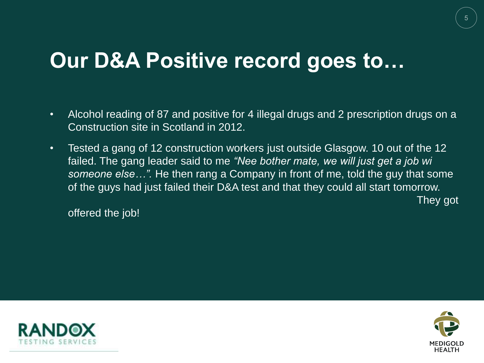## **Our D&A Positive record goes to…**

- Alcohol reading of 87 and positive for 4 illegal drugs and 2 prescription drugs on a Construction site in Scotland in 2012.
- Tested a gang of 12 construction workers just outside Glasgow. 10 out of the 12 failed. The gang leader said to me *"Nee bother mate, we will just get a job wi someone else…".* He then rang a Company in front of me, told the guy that some of the guys had just failed their D&A test and that they could all start tomorrow. They got

offered the job!



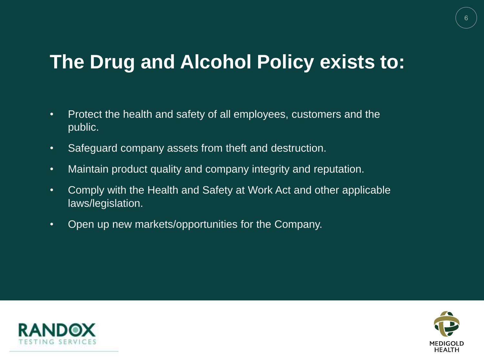#### **The Drug and Alcohol Policy exists to:**

- Protect the health and safety of all employees, customers and the public.
- Safeguard company assets from theft and destruction.
- Maintain product quality and company integrity and reputation.
- Comply with the Health and Safety at Work Act and other applicable laws/legislation.
- Open up new markets/opportunities for the Company.



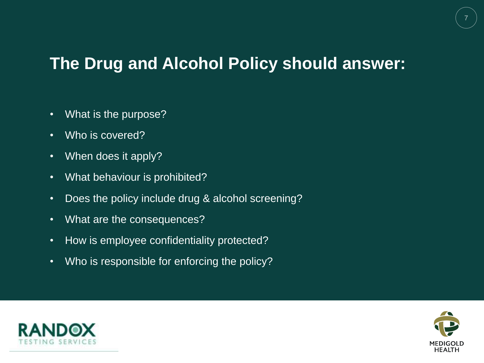#### **The Drug and Alcohol Policy should answer:**

- What is the purpose?
- Who is covered?
- When does it apply?
- What behaviour is prohibited?
- Does the policy include drug & alcohol screening?
- What are the consequences?
- How is employee confidentiality protected?
- Who is responsible for enforcing the policy?



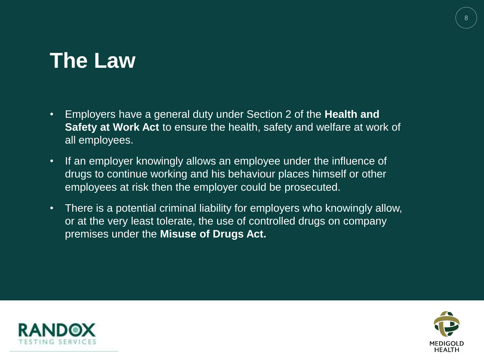### **The Law**

- Employers have a general duty under Section 2 of the **Health and Safety at Work Act** to ensure the health, safety and welfare at work of all employees.
- If an employer knowingly allows an employee under the influence of drugs to continue working and his behaviour places himself or other employees at risk then the employer could be prosecuted.
- There is a potential criminal liability for employers who knowingly allow, or at the very least tolerate, the use of controlled drugs on company premises under the **Misuse of Drugs Act.**



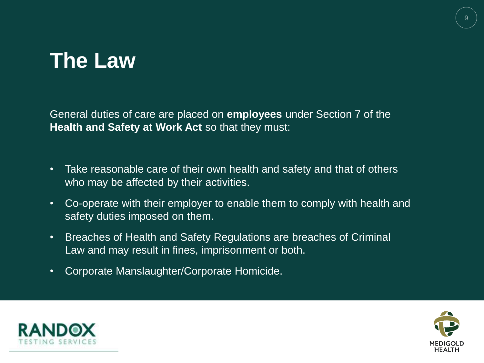## **The Law**

General duties of care are placed on **employees** under Section 7 of the **Health and Safety at Work Act** so that they must:

- Take reasonable care of their own health and safety and that of others who may be affected by their activities.
- Co-operate with their employer to enable them to comply with health and safety duties imposed on them.
- Breaches of Health and Safety Regulations are breaches of Criminal Law and may result in fines, imprisonment or both.
- Corporate Manslaughter/Corporate Homicide.



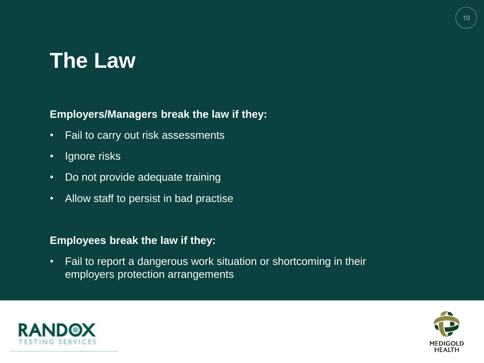## **The Law**

#### **Employers/Managers break the law if they:**

- Fail to carry out risk assessments
- Ignore risks
- Do not provide adequate training
- Allow staff to persist in bad practise

#### **Employees break the law if they:**

• Fail to report a dangerous work situation or shortcoming in their employers protection arrangements



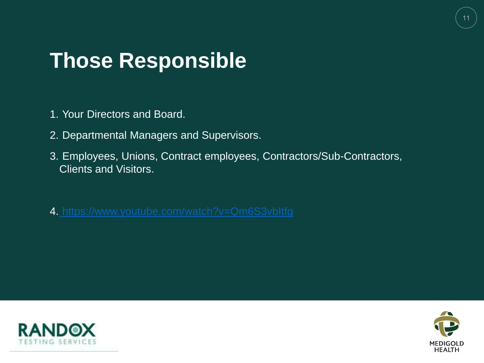## **Those Responsible**

- 1. Your Directors and Board.
- 2. Departmental Managers and Supervisors.
- 3. Employees, Unions, Contract employees, Contractors/Sub-Contractors, Clients and Visitors.
- 4. <https://www.youtube.com/watch?v=Qm6S3vbItfg>



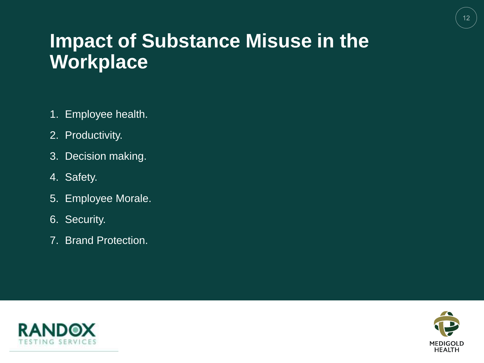#### **Impact of Substance Misuse in the Workplace**

- 1. Employee health.
- 2. Productivity.
- 3. Decision making.
- 4. Safety.
- 5. Employee Morale.
- 6. Security.
- 7. Brand Protection.



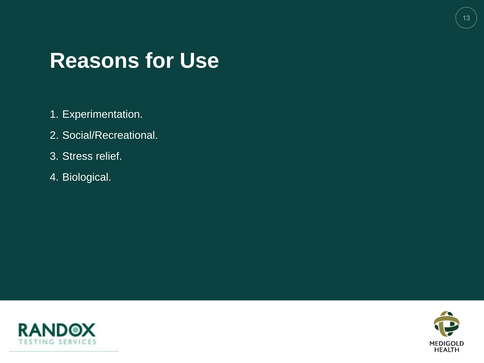#### **Reasons for Use**

- 1. Experimentation.
- 2. Social/Recreational.
- 3. Stress relief.
- 4. Biological.



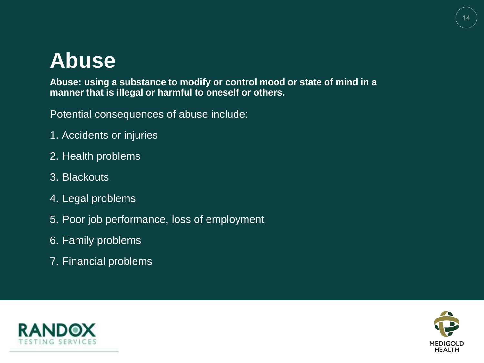## **Abuse**

**Abuse: using a substance to modify or control mood or state of mind in a manner that is illegal or harmful to oneself or others.**

Potential consequences of abuse include:

- 1. Accidents or injuries
- 2. Health problems
- 3. Blackouts
- 4. Legal problems
- 5. Poor job performance, loss of employment
- 6. Family problems
- 7. Financial problems



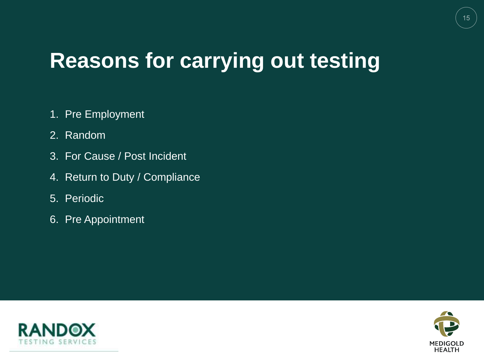## **Reasons for carrying out testing**

- 1. Pre Employment
- 2. Random
- 3. For Cause / Post Incident
- 4. Return to Duty / Compliance
- 5. Periodic
- 6. Pre Appointment



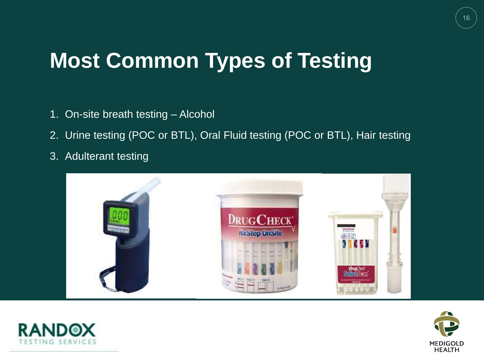# **Most Common Types of Testing**

- 1. On-site breath testing Alcohol
- 2. Urine testing (POC or BTL), Oral Fluid testing (POC or BTL), Hair testing
- 3. Adulterant testing





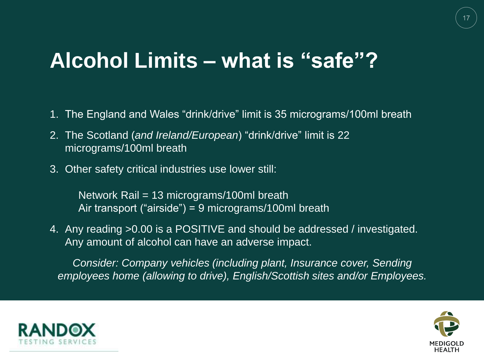#### **Alcohol Limits – what is "safe"?**

- 1. The England and Wales "drink/drive" limit is 35 micrograms/100ml breath
- 2. The Scotland (*and Ireland/European*) "drink/drive" limit is 22 micrograms/100ml breath
- 3. Other safety critical industries use lower still:

Network Rail = 13 micrograms/100ml breath Air transport ("airside") = 9 micrograms/100ml breath

4. Any reading >0.00 is a POSITIVE and should be addressed / investigated. Any amount of alcohol can have an adverse impact.

*Consider: Company vehicles (including plant, Insurance cover, Sending employees home (allowing to drive), English/Scottish sites and/or Employees.*



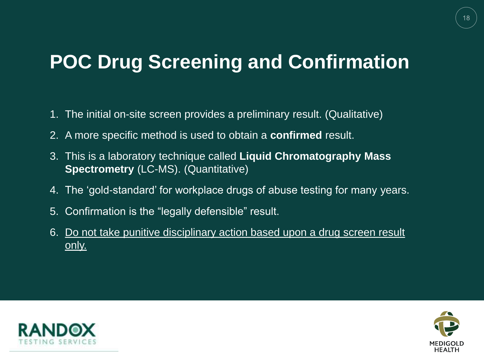#### **POC Drug Screening and Confirmation**

- 1. The initial on-site screen provides a preliminary result. (Qualitative)
- 2. A more specific method is used to obtain a **confirmed** result.
- 3. This is a laboratory technique called **Liquid Chromatography Mass Spectrometry** (LC-MS). (Quantitative)
- 4. The 'gold-standard' for workplace drugs of abuse testing for many years.
- 5. Confirmation is the "legally defensible" result.
- 6. Do not take punitive disciplinary action based upon a drug screen result only.



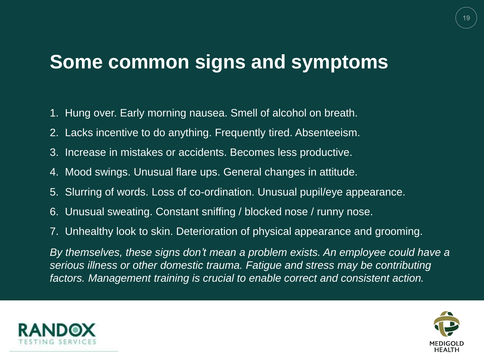#### **Some common signs and symptoms**

- 1. Hung over. Early morning nausea. Smell of alcohol on breath.
- 2. Lacks incentive to do anything. Frequently tired. Absenteeism.
- 3. Increase in mistakes or accidents. Becomes less productive.
- 4. Mood swings. Unusual flare ups. General changes in attitude.
- 5. Slurring of words. Loss of co-ordination. Unusual pupil/eye appearance.
- 6. Unusual sweating. Constant sniffing / blocked nose / runny nose.
- 7. Unhealthy look to skin. Deterioration of physical appearance and grooming.

*By themselves, these signs don't mean a problem exists. An employee could have a serious illness or other domestic trauma. Fatigue and stress may be contributing factors. Management training is crucial to enable correct and consistent action.*